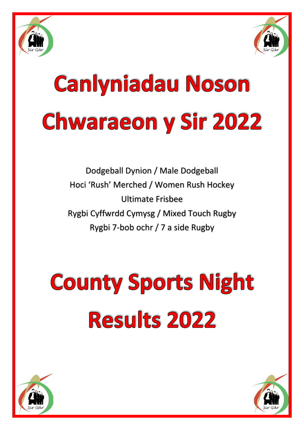



# **Canlyniadau Noson Chwaraeon y Sir 2022**

Dodgeball Dynion / Male Dodgeball Hoci 'Rush' Merched / Women Rush Hockey Ultimate Frisbee Rygbi Cyffwrdd Cymysg / Mixed Touch Rugby Rygbi 7-bob ochr / 7 a side Rugby

## **County Sports Night Results 2022**



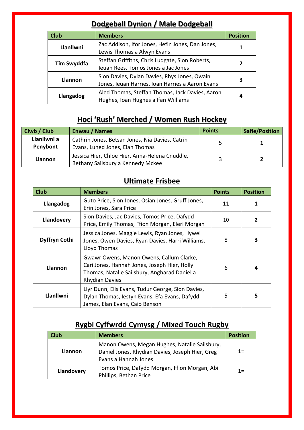### **Dodgeball Dynion / Male Dodgeball**

| <b>Club</b>    | <b>Members</b>                                                                                   | <b>Position</b> |
|----------------|--------------------------------------------------------------------------------------------------|-----------------|
| Llanllwni      | Zac Addison, Ifor Jones, Hefin Jones, Dan Jones,<br>Lewis Thomas a Alwyn Evans                   |                 |
| Tîm Swyddfa    | Steffan Griffiths, Chris Ludgate, Sion Roberts,<br>leuan Rees, Tomos Jones a Jac Jones           | 7               |
| <b>Llannon</b> | Sion Davies, Dylan Davies, Rhys Jones, Owain<br>Jones, Ieuan Harries, Ioan Harries a Aaron Evans | З               |
| Llangadog      | Aled Thomas, Steffan Thomas, Jack Davies, Aaron<br>Hughes, Ioan Hughes a Ifan Williams           | 4               |

#### **Hoci 'Rush' Merched / Women Rush Hockey**

| Clwb / Club             | <b>Enwau / Names</b>                                                                | <b>Points</b> | <b>Safle/Position</b> |
|-------------------------|-------------------------------------------------------------------------------------|---------------|-----------------------|
| Llanllwni a<br>Penybont | Cathrin Jones, Betsan Jones, Nia Davies, Catrin<br>Evans, Luned Jones, Elan Thomas  |               |                       |
| <b>Llannon</b>          | Jessica Hier, Chloe Hier, Anna-Helena Cnuddle,<br>Bethany Sailsbury a Kennedy Mckee |               |                       |

#### **Ultimate Frisbee**

| <b>Club</b>   | <b>Members</b>                                                                                                                                                    | <b>Points</b> | <b>Position</b> |
|---------------|-------------------------------------------------------------------------------------------------------------------------------------------------------------------|---------------|-----------------|
| Llangadog     | Guto Price, Sion Jones, Osian Jones, Gruff Jones,<br>Erin Jones, Sara Price                                                                                       | 11            |                 |
| Llandovery    | Sion Davies, Jac Davies, Tomos Price, Dafydd<br>Price, Emily Thomas, Ffion Morgan, Eleri Morgan                                                                   | 10            | 2               |
| Dyffryn Cothi | Jessica Jones, Maggie Lewis, Ryan Jones, Hywel<br>Jones, Owen Davies, Ryan Davies, Harri Williams,<br>Lloyd Thomas                                                | 8             | 3               |
| Llannon       | Gwawr Owens, Manon Owens, Callum Clarke,<br>Cari Jones, Hannah Jones, Joseph Hier, Holly<br>Thomas, Natalie Sailsbury, Angharad Daniel a<br><b>Rhydian Davies</b> | 6             | 4               |
| Llanllwni     | Llyr Dunn, Elis Evans, Tudur George, Sion Davies,<br>Dylan Thomas, Iestyn Evans, Efa Evans, Dafydd<br>James, Elan Evans, Caio Benson                              | 5             | 5               |

## **Rygbi Cyffwrdd Cymysg / Mixed Touch Rugby**

| <b>Club</b> | <b>Members</b>                                                                                                           | <b>Position</b> |
|-------------|--------------------------------------------------------------------------------------------------------------------------|-----------------|
| Llannon     | Manon Owens, Megan Hughes, Natalie Sailsbury,<br>Daniel Jones, Rhydian Davies, Joseph Hier, Greg<br>Evans a Hannah Jones | $1 =$           |
| Llandovery  | Tomos Price, Dafydd Morgan, Ffion Morgan, Abi<br>Phillips, Bethan Price                                                  | $1 =$           |